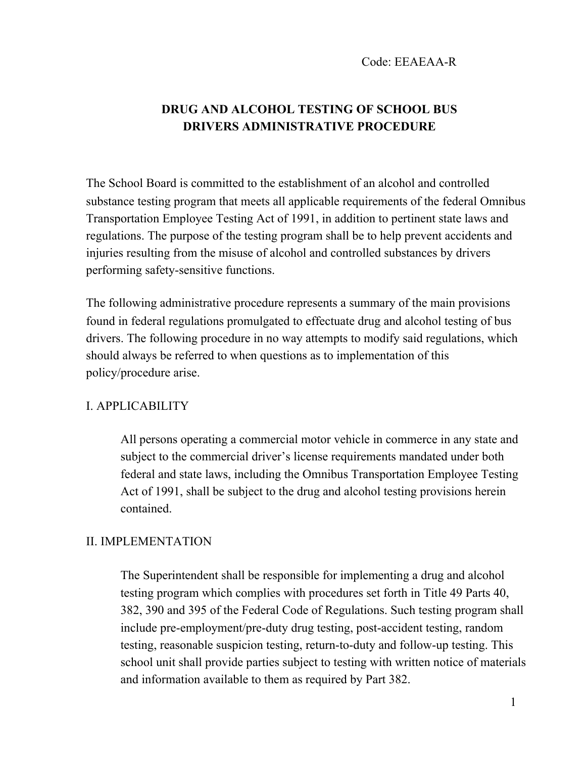# **DRUG AND ALCOHOL TESTING OF SCHOOL BUS DRIVERS ADMINISTRATIVE PROCEDURE**

The School Board is committed to the establishment of an alcohol and controlled substance testing program that meets all applicable requirements of the federal Omnibus Transportation Employee Testing Act of 1991, in addition to pertinent state laws and regulations. The purpose of the testing program shall be to help prevent accidents and injuries resulting from the misuse of alcohol and controlled substances by drivers performing safety-sensitive functions.

The following administrative procedure represents a summary of the main provisions found in federal regulations promulgated to effectuate drug and alcohol testing of bus drivers. The following procedure in no way attempts to modify said regulations, which should always be referred to when questions as to implementation of this policy/procedure arise.

### I. APPLICABILITY

All persons operating a commercial motor vehicle in commerce in any state and subject to the commercial driver's license requirements mandated under both federal and state laws, including the Omnibus Transportation Employee Testing Act of 1991, shall be subject to the drug and alcohol testing provisions herein contained.

### II. IMPLEMENTATION

The Superintendent shall be responsible for implementing a drug and alcohol testing program which complies with procedures set forth in Title 49 Parts 40, 382, 390 and 395 of the Federal Code of Regulations. Such testing program shall include pre-employment/pre-duty drug testing, post-accident testing, random testing, reasonable suspicion testing, return-to-duty and follow-up testing. This school unit shall provide parties subject to testing with written notice of materials and information available to them as required by Part 382.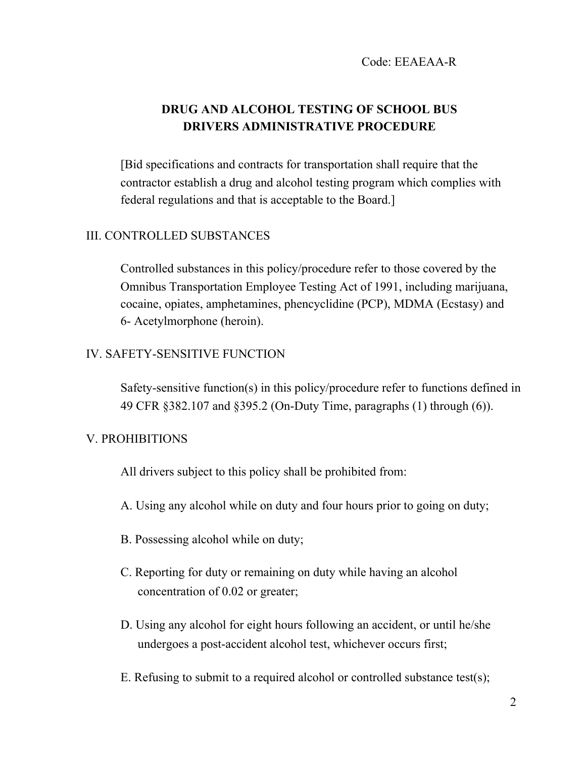## **DRUG AND ALCOHOL TESTING OF SCHOOL BUS DRIVERS ADMINISTRATIVE PROCEDURE**

[Bid specifications and contracts for transportation shall require that the contractor establish a drug and alcohol testing program which complies with federal regulations and that is acceptable to the Board.]

#### III. CONTROLLED SUBSTANCES

Controlled substances in this policy/procedure refer to those covered by the Omnibus Transportation Employee Testing Act of 1991, including marijuana, cocaine, opiates, amphetamines, phencyclidine (PCP), MDMA (Ecstasy) and 6- Acetylmorphone (heroin).

### IV. SAFETY-SENSITIVE FUNCTION

Safety-sensitive function(s) in this policy/procedure refer to functions defined in 49 CFR §382.107 and §395.2 (On-Duty Time, paragraphs (1) through (6)).

#### V. PROHIBITIONS

All drivers subject to this policy shall be prohibited from:

- A. Using any alcohol while on duty and four hours prior to going on duty;
- B. Possessing alcohol while on duty;
- C. Reporting for duty or remaining on duty while having an alcohol concentration of 0.02 or greater;
- D. Using any alcohol for eight hours following an accident, or until he/she undergoes a post-accident alcohol test, whichever occurs first;
- E. Refusing to submit to a required alcohol or controlled substance test(s);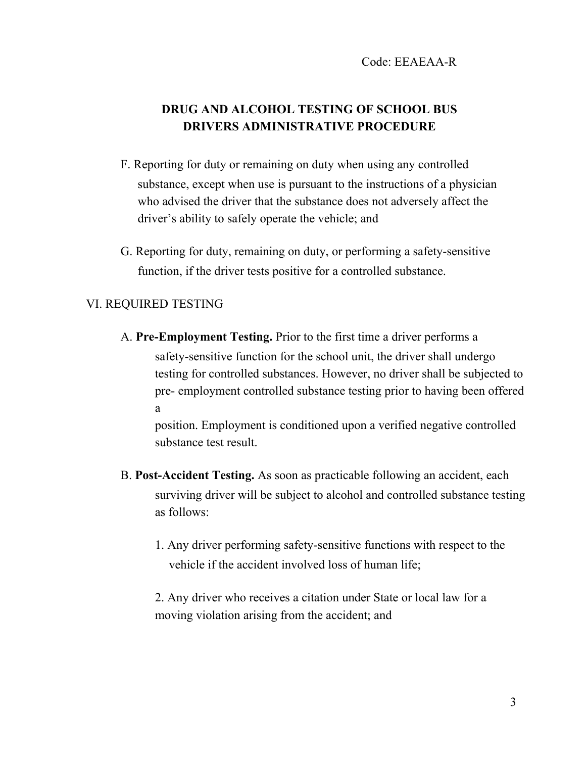# **DRUG AND ALCOHOL TESTING OF SCHOOL BUS DRIVERS ADMINISTRATIVE PROCEDURE**

- F. Reporting for duty or remaining on duty when using any controlled substance, except when use is pursuant to the instructions of a physician who advised the driver that the substance does not adversely affect the driver's ability to safely operate the vehicle; and
- G. Reporting for duty, remaining on duty, or performing a safety-sensitive function, if the driver tests positive for a controlled substance.

#### VI. REQUIRED TESTING

A. **Pre-Employment Testing.** Prior to the first time a driver performs a safety-sensitive function for the school unit, the driver shall undergo testing for controlled substances. However, no driver shall be subjected to pre- employment controlled substance testing prior to having been offered a

position. Employment is conditioned upon a verified negative controlled substance test result.

- B. **Post-Accident Testing.** As soon as practicable following an accident, each surviving driver will be subject to alcohol and controlled substance testing as follows:
	- 1. Any driver performing safety-sensitive functions with respect to the vehicle if the accident involved loss of human life;

2. Any driver who receives a citation under State or local law for a moving violation arising from the accident; and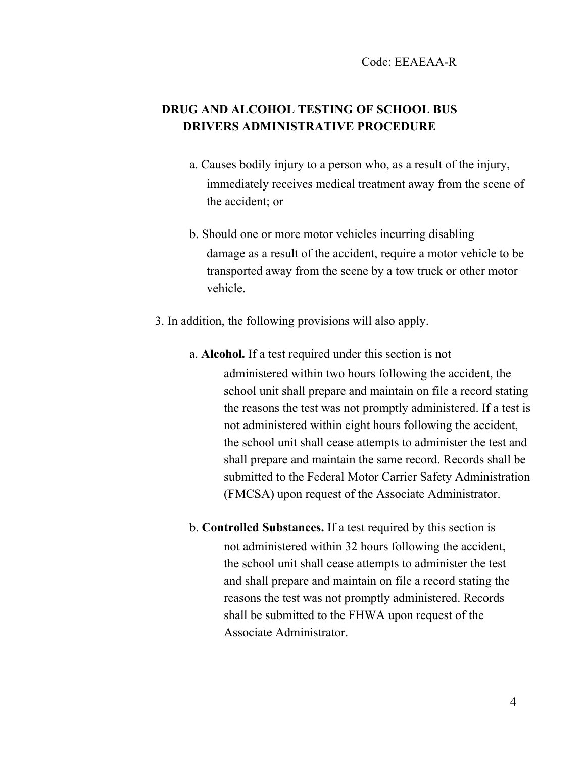## **DRUG AND ALCOHOL TESTING OF SCHOOL BUS DRIVERS ADMINISTRATIVE PROCEDURE**

- a. Causes bodily injury to a person who, as a result of the injury, immediately receives medical treatment away from the scene of the accident; or
- b. Should one or more motor vehicles incurring disabling damage as a result of the accident, require a motor vehicle to be transported away from the scene by a tow truck or other motor vehicle.
- 3. In addition, the following provisions will also apply.
	- a. **Alcohol.** If a test required under this section is not administered within two hours following the accident, the school unit shall prepare and maintain on file a record stating the reasons the test was not promptly administered. If a test is not administered within eight hours following the accident, the school unit shall cease attempts to administer the test and shall prepare and maintain the same record. Records shall be submitted to the Federal Motor Carrier Safety Administration (FMCSA) upon request of the Associate Administrator.
	- b. **Controlled Substances.** If a test required by this section is not administered within 32 hours following the accident, the school unit shall cease attempts to administer the test and shall prepare and maintain on file a record stating the reasons the test was not promptly administered. Records shall be submitted to the FHWA upon request of the Associate Administrator.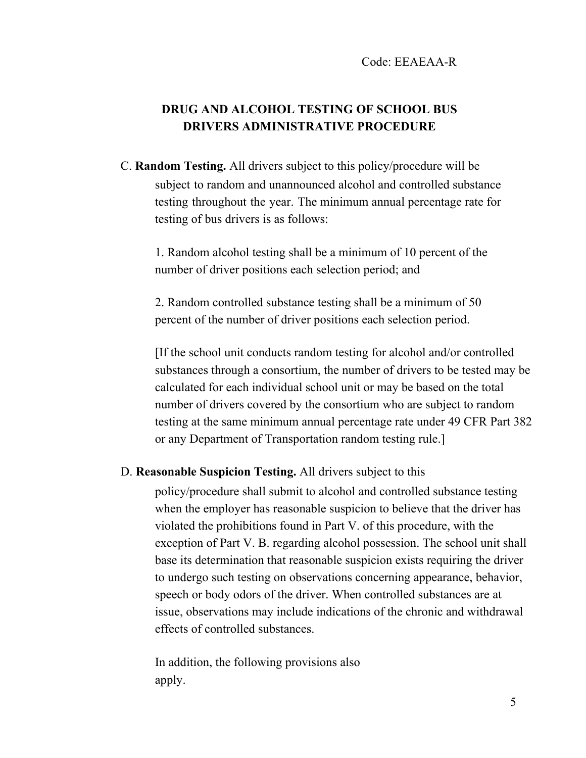# **DRUG AND ALCOHOL TESTING OF SCHOOL BUS DRIVERS ADMINISTRATIVE PROCEDURE**

C. **Random Testing.** All drivers subject to this policy/procedure will be subject to random and unannounced alcohol and controlled substance testing throughout the year. The minimum annual percentage rate for testing of bus drivers is as follows:

1. Random alcohol testing shall be a minimum of 10 percent of the number of driver positions each selection period; and

2. Random controlled substance testing shall be a minimum of 50 percent of the number of driver positions each selection period.

[If the school unit conducts random testing for alcohol and/or controlled substances through a consortium, the number of drivers to be tested may be calculated for each individual school unit or may be based on the total number of drivers covered by the consortium who are subject to random testing at the same minimum annual percentage rate under 49 CFR Part 382 or any Department of Transportation random testing rule.]

### D. **Reasonable Suspicion Testing.** All drivers subject to this

policy/procedure shall submit to alcohol and controlled substance testing when the employer has reasonable suspicion to believe that the driver has violated the prohibitions found in Part V. of this procedure, with the exception of Part V. B. regarding alcohol possession. The school unit shall base its determination that reasonable suspicion exists requiring the driver to undergo such testing on observations concerning appearance, behavior, speech or body odors of the driver. When controlled substances are at issue, observations may include indications of the chronic and withdrawal effects of controlled substances.

In addition, the following provisions also apply.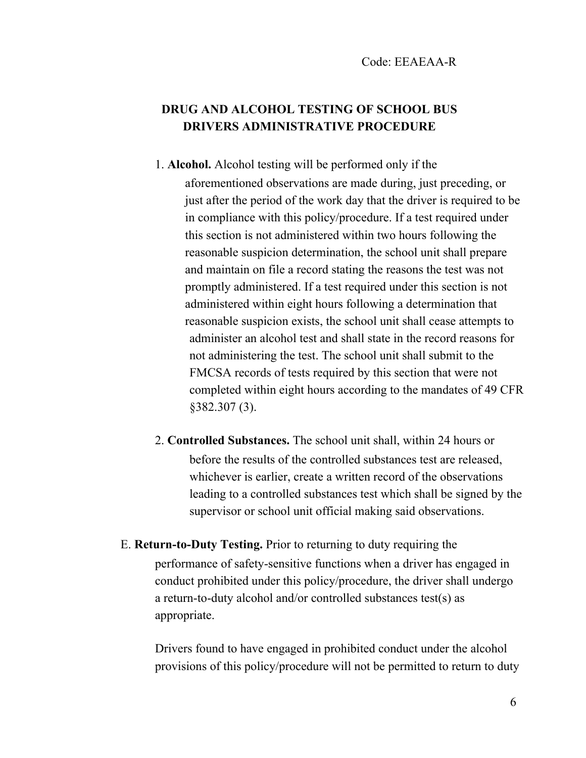## **DRUG AND ALCOHOL TESTING OF SCHOOL BUS DRIVERS ADMINISTRATIVE PROCEDURE**

- 1. **Alcohol.** Alcohol testing will be performed only if the aforementioned observations are made during, just preceding, or just after the period of the work day that the driver is required to be in compliance with this policy/procedure. If a test required under this section is not administered within two hours following the reasonable suspicion determination, the school unit shall prepare and maintain on file a record stating the reasons the test was not promptly administered. If a test required under this section is not administered within eight hours following a determination that reasonable suspicion exists, the school unit shall cease attempts to administer an alcohol test and shall state in the record reasons for not administering the test. The school unit shall submit to the FMCSA records of tests required by this section that were not completed within eight hours according to the mandates of 49 CFR §382.307 (3).
- 2. **Controlled Substances.** The school unit shall, within 24 hours or before the results of the controlled substances test are released, whichever is earlier, create a written record of the observations leading to a controlled substances test which shall be signed by the supervisor or school unit official making said observations.
- E. **Return-to-Duty Testing.** Prior to returning to duty requiring the performance of safety-sensitive functions when a driver has engaged in conduct prohibited under this policy/procedure, the driver shall undergo a return-to-duty alcohol and/or controlled substances test(s) as appropriate.

Drivers found to have engaged in prohibited conduct under the alcohol provisions of this policy/procedure will not be permitted to return to duty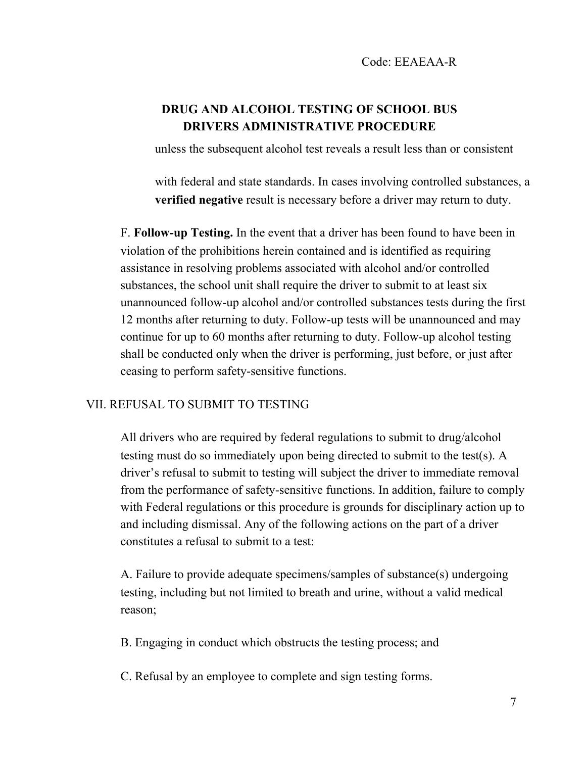## **DRUG AND ALCOHOL TESTING OF SCHOOL BUS DRIVERS ADMINISTRATIVE PROCEDURE**

unless the subsequent alcohol test reveals a result less than or consistent

with federal and state standards. In cases involving controlled substances, a **verified negative** result is necessary before a driver may return to duty.

F. **Follow-up Testing.** In the event that a driver has been found to have been in violation of the prohibitions herein contained and is identified as requiring assistance in resolving problems associated with alcohol and/or controlled substances, the school unit shall require the driver to submit to at least six unannounced follow-up alcohol and/or controlled substances tests during the first 12 months after returning to duty. Follow-up tests will be unannounced and may continue for up to 60 months after returning to duty. Follow-up alcohol testing shall be conducted only when the driver is performing, just before, or just after ceasing to perform safety-sensitive functions.

### VII. REFUSAL TO SUBMIT TO TESTING

All drivers who are required by federal regulations to submit to drug/alcohol testing must do so immediately upon being directed to submit to the test(s). A driver's refusal to submit to testing will subject the driver to immediate removal from the performance of safety-sensitive functions. In addition, failure to comply with Federal regulations or this procedure is grounds for disciplinary action up to and including dismissal. Any of the following actions on the part of a driver constitutes a refusal to submit to a test:

A. Failure to provide adequate specimens/samples of substance(s) undergoing testing, including but not limited to breath and urine, without a valid medical reason;

B. Engaging in conduct which obstructs the testing process; and

C. Refusal by an employee to complete and sign testing forms.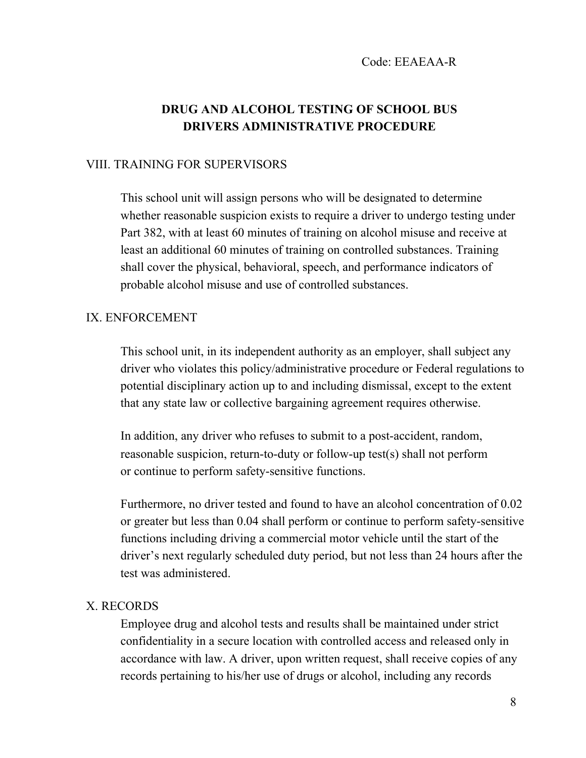## **DRUG AND ALCOHOL TESTING OF SCHOOL BUS DRIVERS ADMINISTRATIVE PROCEDURE**

### VIII. TRAINING FOR SUPERVISORS

This school unit will assign persons who will be designated to determine whether reasonable suspicion exists to require a driver to undergo testing under Part 382, with at least 60 minutes of training on alcohol misuse and receive at least an additional 60 minutes of training on controlled substances. Training shall cover the physical, behavioral, speech, and performance indicators of probable alcohol misuse and use of controlled substances.

#### IX. ENFORCEMENT

This school unit, in its independent authority as an employer, shall subject any driver who violates this policy/administrative procedure or Federal regulations to potential disciplinary action up to and including dismissal, except to the extent that any state law or collective bargaining agreement requires otherwise.

In addition, any driver who refuses to submit to a post-accident, random, reasonable suspicion, return-to-duty or follow-up test(s) shall not perform or continue to perform safety-sensitive functions.

Furthermore, no driver tested and found to have an alcohol concentration of 0.02 or greater but less than 0.04 shall perform or continue to perform safety-sensitive functions including driving a commercial motor vehicle until the start of the driver's next regularly scheduled duty period, but not less than 24 hours after the test was administered.

#### X. RECORDS

Employee drug and alcohol tests and results shall be maintained under strict confidentiality in a secure location with controlled access and released only in accordance with law. A driver, upon written request, shall receive copies of any records pertaining to his/her use of drugs or alcohol, including any records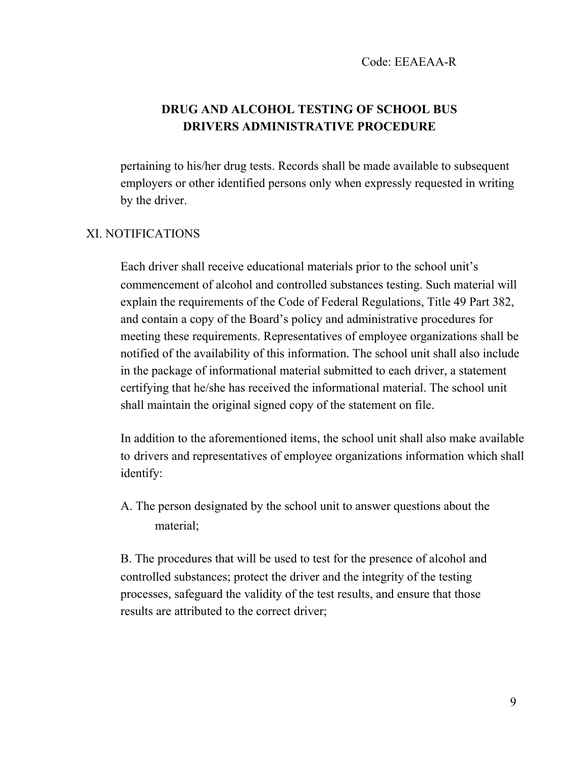## **DRUG AND ALCOHOL TESTING OF SCHOOL BUS DRIVERS ADMINISTRATIVE PROCEDURE**

pertaining to his/her drug tests. Records shall be made available to subsequent employers or other identified persons only when expressly requested in writing by the driver.

### XI. NOTIFICATIONS

Each driver shall receive educational materials prior to the school unit's commencement of alcohol and controlled substances testing. Such material will explain the requirements of the Code of Federal Regulations, Title 49 Part 382, and contain a copy of the Board's policy and administrative procedures for meeting these requirements. Representatives of employee organizations shall be notified of the availability of this information. The school unit shall also include in the package of informational material submitted to each driver, a statement certifying that he/she has received the informational material. The school unit shall maintain the original signed copy of the statement on file.

In addition to the aforementioned items, the school unit shall also make available to drivers and representatives of employee organizations information which shall identify:

A. The person designated by the school unit to answer questions about the material;

B. The procedures that will be used to test for the presence of alcohol and controlled substances; protect the driver and the integrity of the testing processes, safeguard the validity of the test results, and ensure that those results are attributed to the correct driver;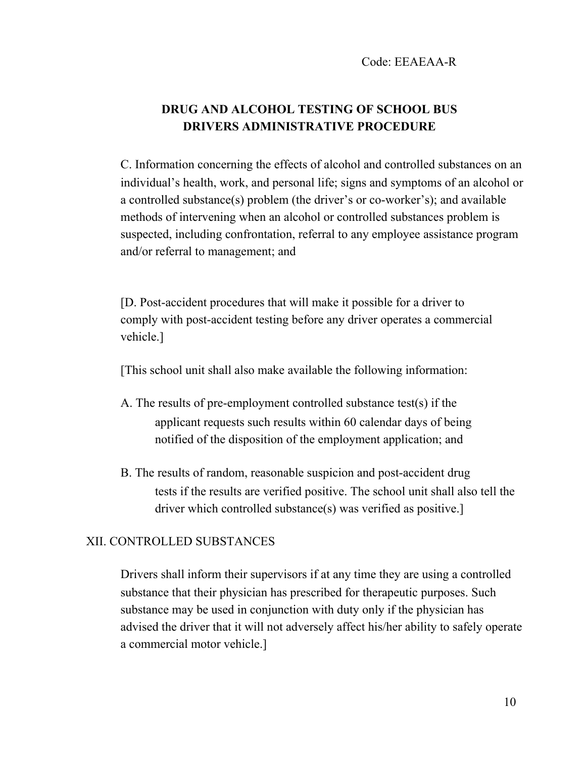# **DRUG AND ALCOHOL TESTING OF SCHOOL BUS DRIVERS ADMINISTRATIVE PROCEDURE**

C. Information concerning the effects of alcohol and controlled substances on an individual's health, work, and personal life; signs and symptoms of an alcohol or a controlled substance(s) problem (the driver's or co-worker's); and available methods of intervening when an alcohol or controlled substances problem is suspected, including confrontation, referral to any employee assistance program and/or referral to management; and

[D. Post-accident procedures that will make it possible for a driver to comply with post-accident testing before any driver operates a commercial vehicle.]

[This school unit shall also make available the following information:

- A. The results of pre-employment controlled substance test(s) if the applicant requests such results within 60 calendar days of being notified of the disposition of the employment application; and
- B. The results of random, reasonable suspicion and post-accident drug tests if the results are verified positive. The school unit shall also tell the driver which controlled substance(s) was verified as positive.]

### XII. CONTROLLED SUBSTANCES

Drivers shall inform their supervisors if at any time they are using a controlled substance that their physician has prescribed for therapeutic purposes. Such substance may be used in conjunction with duty only if the physician has advised the driver that it will not adversely affect his/her ability to safely operate a commercial motor vehicle.]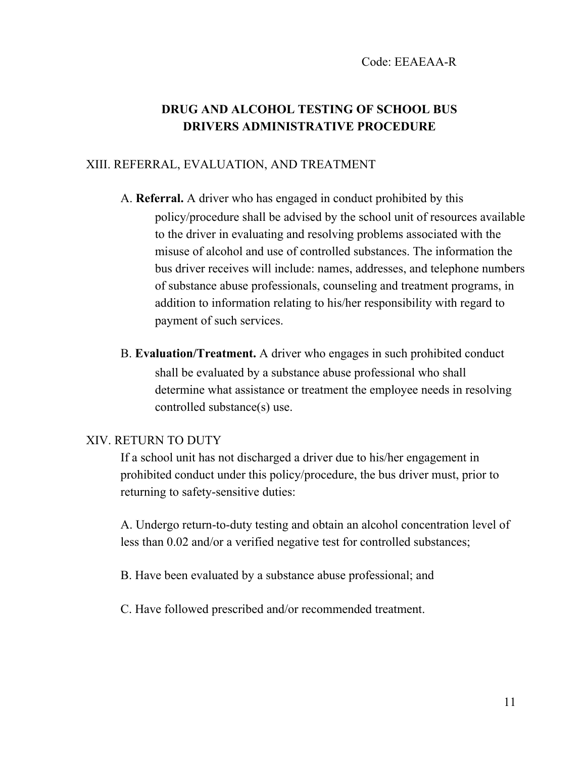# **DRUG AND ALCOHOL TESTING OF SCHOOL BUS DRIVERS ADMINISTRATIVE PROCEDURE**

### XIII. REFERRAL, EVALUATION, AND TREATMENT

- A. **Referral.** A driver who has engaged in conduct prohibited by this policy/procedure shall be advised by the school unit of resources available to the driver in evaluating and resolving problems associated with the misuse of alcohol and use of controlled substances. The information the bus driver receives will include: names, addresses, and telephone numbers of substance abuse professionals, counseling and treatment programs, in addition to information relating to his/her responsibility with regard to payment of such services.
- B. **Evaluation/Treatment.** A driver who engages in such prohibited conduct shall be evaluated by a substance abuse professional who shall determine what assistance or treatment the employee needs in resolving controlled substance(s) use.

### XIV. RETURN TO DUTY

If a school unit has not discharged a driver due to his/her engagement in prohibited conduct under this policy/procedure, the bus driver must, prior to returning to safety-sensitive duties:

A. Undergo return-to-duty testing and obtain an alcohol concentration level of less than 0.02 and/or a verified negative test for controlled substances;

B. Have been evaluated by a substance abuse professional; and

C. Have followed prescribed and/or recommended treatment.